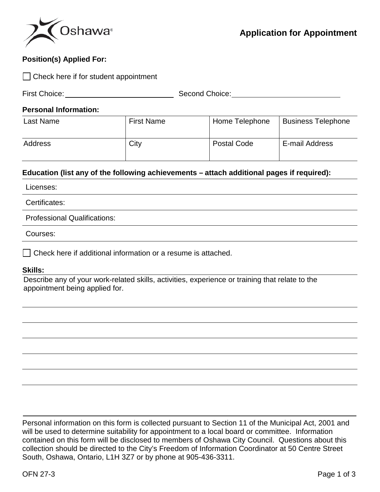

## **Position(s) Applied For:**

| $\Box$ Check here if for student appointment |                                                                                           |                    |                           |  |
|----------------------------------------------|-------------------------------------------------------------------------------------------|--------------------|---------------------------|--|
| First Choice:                                |                                                                                           | Second Choice:     |                           |  |
| <b>Personal Information:</b>                 |                                                                                           |                    |                           |  |
| <b>Last Name</b>                             | <b>First Name</b>                                                                         | Home Telephone     | <b>Business Telephone</b> |  |
| Address                                      | City                                                                                      | <b>Postal Code</b> | E-mail Address            |  |
|                                              | Education (list any of the following achievements – attach additional pages if required): |                    |                           |  |
| Licenses:                                    |                                                                                           |                    |                           |  |
| Certificates:                                |                                                                                           |                    |                           |  |
| <b>Professional Qualifications:</b>          |                                                                                           |                    |                           |  |
|                                              |                                                                                           |                    |                           |  |

Courses:

□ Check here if additional information or a resume is attached.

## **Skills:**

Describe any of your work-related skills, activities, experience or training that relate to the appointment being applied for.

Personal information on this form is collected pursuant to Section 11 of the Municipal Act, 2001 and will be used to determine suitability for appointment to a local board or committee. Information contained on this form will be disclosed to members of Oshawa City Council. Questions about this collection should be directed to the City's Freedom of Information Coordinator at 50 Centre Street South, Oshawa, Ontario, L1H 3Z7 or by phone at 905-436-3311.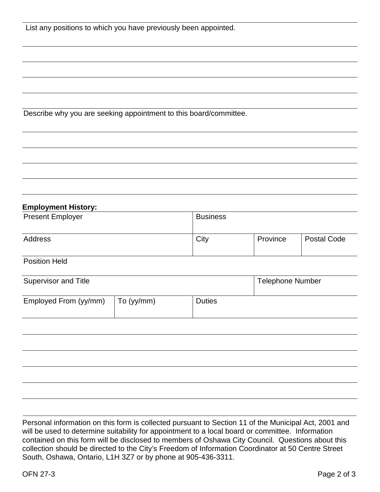Describe why you are seeking appointment to this board/committee.

|  | <b>Employment History:</b> |
|--|----------------------------|
|  |                            |

| <b>Present Employer</b> | <b>Business</b> |          |                    |
|-------------------------|-----------------|----------|--------------------|
| Address                 | City            | Province | <b>Postal Code</b> |

Position Held

| Supervisor and Title  |                    |               | <b>Telephone Number</b> |
|-----------------------|--------------------|---------------|-------------------------|
| Employed From (yy/mm) | $\vert$ To (yy/mm) | <b>Duties</b> |                         |

Personal information on this form is collected pursuant to Section 11 of the Municipal Act, 2001 and will be used to determine suitability for appointment to a local board or committee. Information contained on this form will be disclosed to members of Oshawa City Council. Questions about this collection should be directed to the City's Freedom of Information Coordinator at 50 Centre Street South, Oshawa, Ontario, L1H 3Z7 or by phone at 905-436-3311.